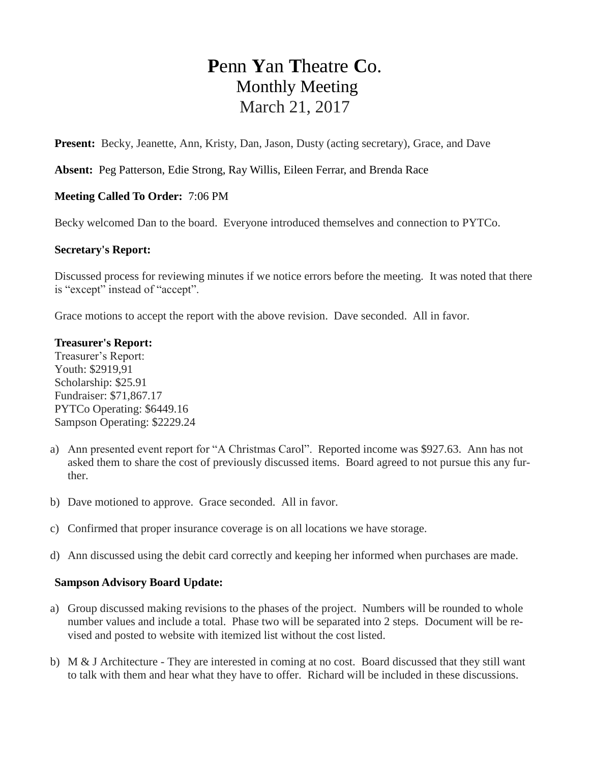# **P**enn **Y**an **T**heatre **C**o. Monthly Meeting March 21, 2017

**Present:** Becky, Jeanette, Ann, Kristy, Dan, Jason, Dusty (acting secretary), Grace, and Dave

**Absent:** Peg Patterson, Edie Strong, Ray Willis, Eileen Ferrar, and Brenda Race

## **Meeting Called To Order:** 7:06 PM

Becky welcomed Dan to the board. Everyone introduced themselves and connection to PYTCo.

## **Secretary's Report:**

Discussed process for reviewing minutes if we notice errors before the meeting. It was noted that there is "except" instead of "accept".

Grace motions to accept the report with the above revision. Dave seconded. All in favor.

#### **Treasurer's Report:**

Treasurer's Report: Youth: \$2919,91 Scholarship: \$25.91 Fundraiser: \$71,867.17 PYTCo Operating: \$6449.16 Sampson Operating: \$2229.24

- a) Ann presented event report for "A Christmas Carol". Reported income was \$927.63. Ann has not asked them to share the cost of previously discussed items. Board agreed to not pursue this any further.
- b) Dave motioned to approve. Grace seconded. All in favor.
- c) Confirmed that proper insurance coverage is on all locations we have storage.
- d) Ann discussed using the debit card correctly and keeping her informed when purchases are made.

#### **Sampson Advisory Board Update:**

- a) Group discussed making revisions to the phases of the project. Numbers will be rounded to whole number values and include a total. Phase two will be separated into 2 steps. Document will be revised and posted to website with itemized list without the cost listed.
- b) M & J Architecture They are interested in coming at no cost. Board discussed that they still want to talk with them and hear what they have to offer. Richard will be included in these discussions.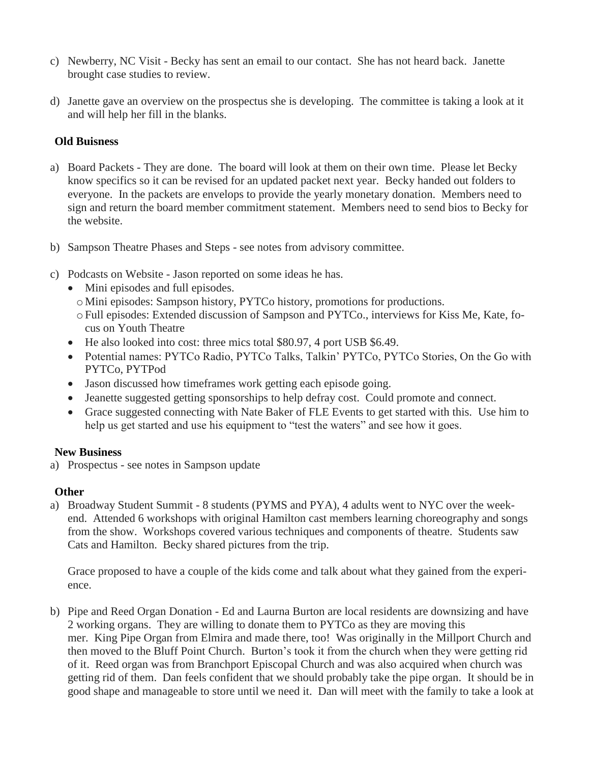- c) Newberry, NC Visit Becky has sent an email to our contact. She has not heard back. Janette brought case studies to review.
- d) Janette gave an overview on the prospectus she is developing. The committee is taking a look at it and will help her fill in the blanks.

# **Old Buisness**

- a) Board Packets They are done. The board will look at them on their own time. Please let Becky know specifics so it can be revised for an updated packet next year. Becky handed out folders to everyone. In the packets are envelops to provide the yearly monetary donation. Members need to sign and return the board member commitment statement. Members need to send bios to Becky for the website.
- b) Sampson Theatre Phases and Steps see notes from advisory committee.
- c) Podcasts on Website Jason reported on some ideas he has.
	- Mini episodes and full episodes.
		- o Mini episodes: Sampson history, PYTCo history, promotions for productions.
	- oFull episodes: Extended discussion of Sampson and PYTCo., interviews for Kiss Me, Kate, focus on Youth Theatre
	- He also looked into cost: three mics total \$80.97, 4 port USB \$6.49.
	- Potential names: PYTCo Radio, PYTCo Talks, Talkin' PYTCo, PYTCo Stories, On the Go with PYTCo, PYTPod
	- Jason discussed how timeframes work getting each episode going.
	- Jeanette suggested getting sponsorships to help defray cost. Could promote and connect.
	- Grace suggested connecting with Nate Baker of FLE Events to get started with this. Use him to help us get started and use his equipment to "test the waters" and see how it goes.

## **New Business**

a) Prospectus - see notes in Sampson update

## **Other**

a) Broadway Student Summit - 8 students (PYMS and PYA), 4 adults went to NYC over the weekend. Attended 6 workshops with original Hamilton cast members learning choreography and songs from the show. Workshops covered various techniques and components of theatre. Students saw Cats and Hamilton. Becky shared pictures from the trip.

Grace proposed to have a couple of the kids come and talk about what they gained from the experience.

b) Pipe and Reed Organ Donation - Ed and Laurna Burton are local residents are downsizing and have 2 working organs. They are willing to donate them to PYTCo as they are moving this mer. King Pipe Organ from Elmira and made there, too! Was originally in the Millport Church and then moved to the Bluff Point Church. Burton's took it from the church when they were getting rid of it. Reed organ was from Branchport Episcopal Church and was also acquired when church was getting rid of them. Dan feels confident that we should probably take the pipe organ. It should be in good shape and manageable to store until we need it. Dan will meet with the family to take a look at